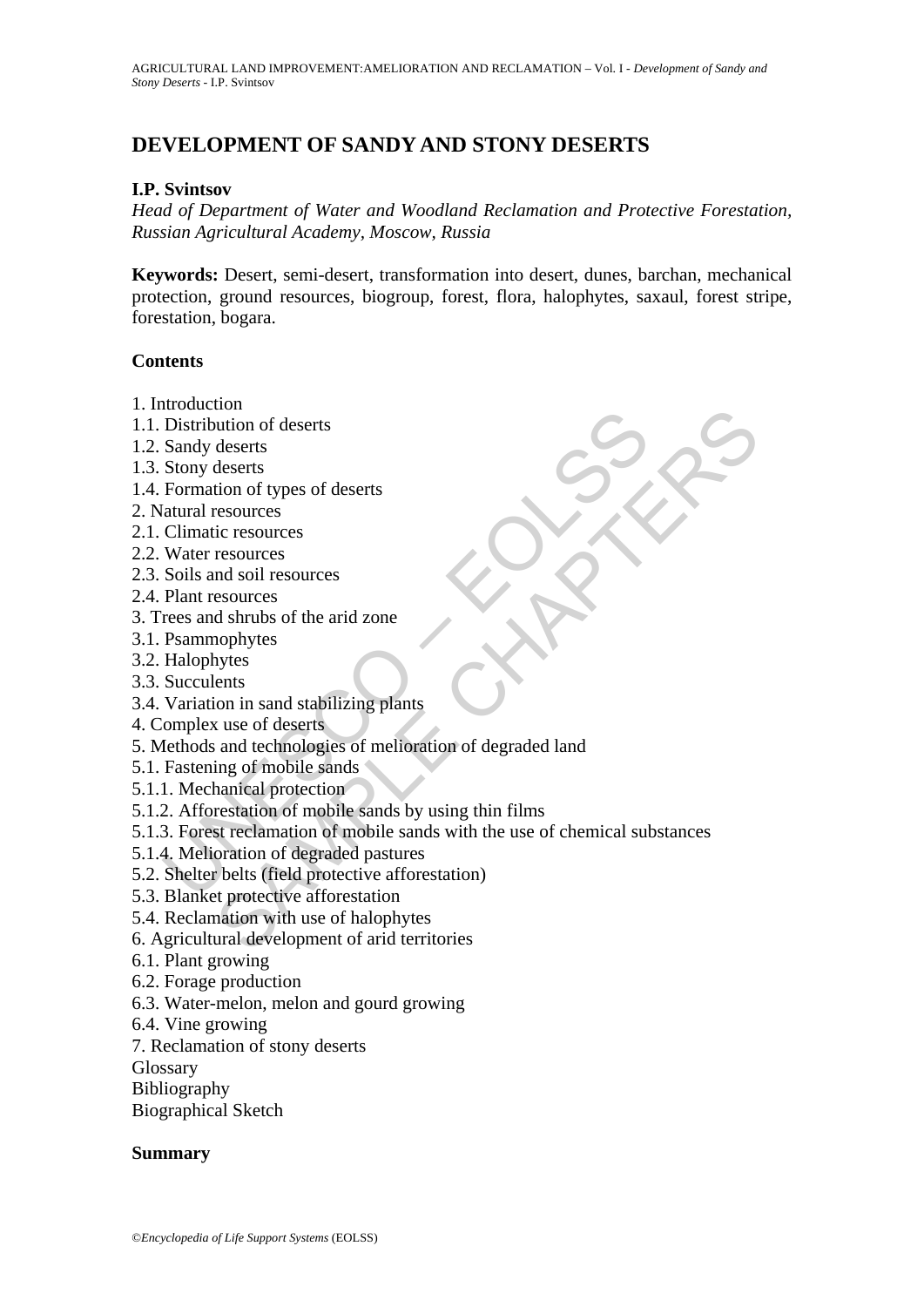# **DEVELOPMENT OF SANDY AND STONY DESERTS**

#### **I.P. Svintsov**

*Head of Department of Water and Woodland Reclamation and Protective Forestation, Russian Agricultural Academy, Moscow, Russia*

**Keywords:** Desert, semi-desert, transformation into desert, dunes, barchan, mechanical protection, ground resources, biogroup, forest, flora, halophytes, saxaul, forest stripe, forestation, bogara.

#### **Contents**

- 1. Introduction
- 1.1. Distribution of deserts
- 1.2. Sandy deserts
- 1.3. Stony deserts
- 1.4. Formation of types of deserts
- 2. Natural resources
- 2.1. Climatic resources
- 2.2. Water resources
- 2.3. Soils and soil resources
- 2.4. Plant resources
- 3. Trees and shrubs of the arid zone
- 3.1. Psammophytes
- 3.2. Halophytes
- 3.3. Succulents
- 3.4. Variation in sand stabilizing plants
- 4. Complex use of deserts
- 5. Methods and technologies of melioration of degraded land
- 5.1. Fastening of mobile sands
- 5.1.1. Mechanical protection
- 5.1.2. Afforestation of mobile sands by using thin films
- notation<br>
Distribution of deserts<br>
Sandy deserts<br>
Sandy deserts<br>
Sandy deserts<br>
Sandy deserts<br>
Sandy deserts<br>
Elimatic resources<br>
Climatic resources<br>
Climatic resources<br>
Natat resources<br>
Soils and soil resources<br>
Plant res total<br>
ution of deserts<br>
deserts<br>
deserts<br>
deserts<br>
tion of types of deserts<br>
resources<br>
ic resources<br>
ic resources<br>
sesources<br>
sesources<br>
d shrubs of the arid zone<br>
vytes<br>
use of deserts<br>
vytes<br>
uses of deserts<br>
wytes<br>
us 5.1.3. Forest reclamation of mobile sands with the use of chemical substances
- 5.1.4. Melioration of degraded pastures
- 5.2. Shelter belts (field protective afforestation)
- 5.3. Blanket protective afforestation
- 5.4. Reclamation with use of halophytes
- 6. Agricultural development of arid territories
- 6.1. Plant growing
- 6.2. Forage production
- 6.3. Water-melon, melon and gourd growing
- 6.4. Vine growing
- 7. Reclamation of stony deserts

Glossary

Bibliography

Biographical Sketch

#### **Summary**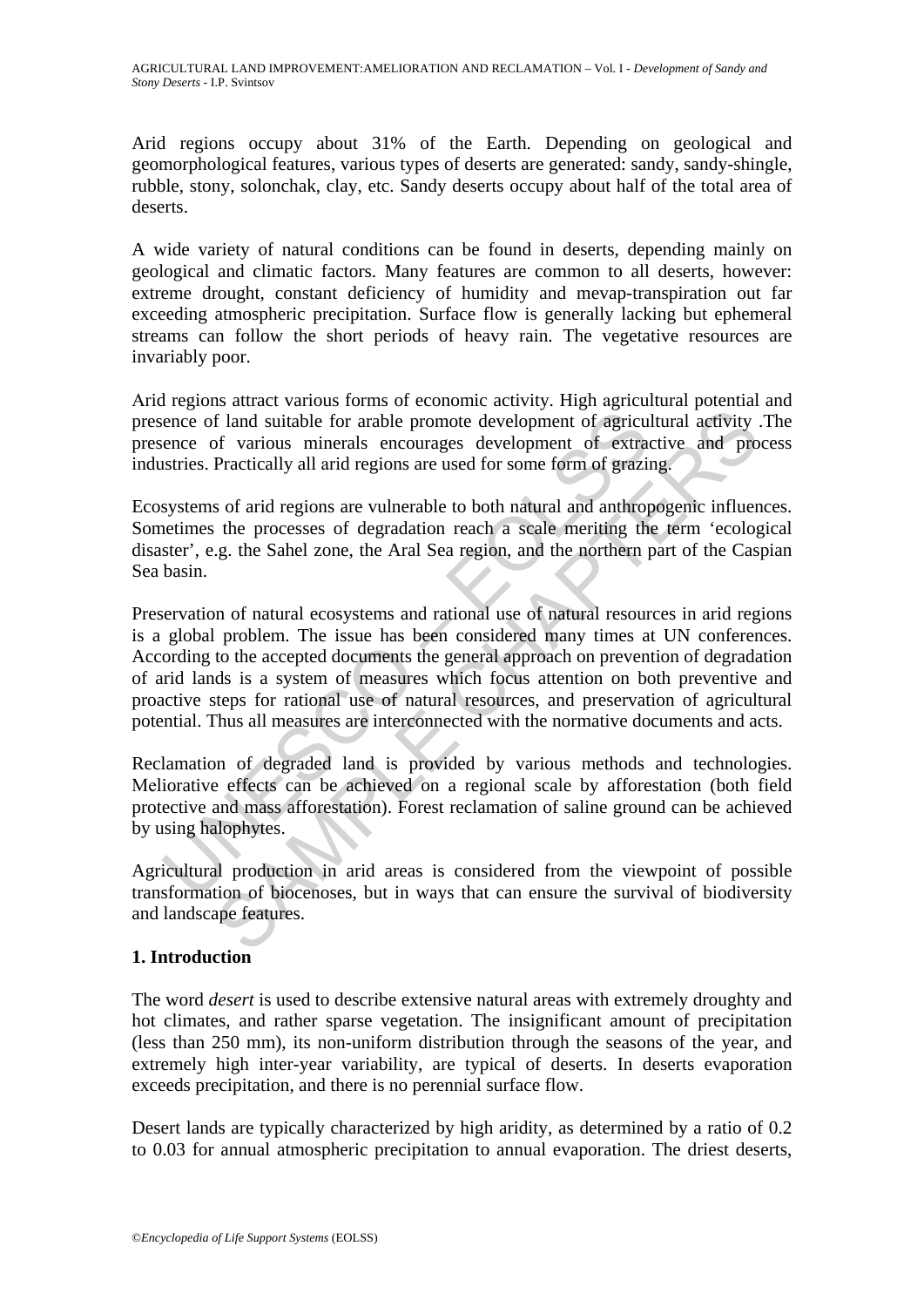Arid regions occupy about 31% of the Earth. Depending on geological and geomorphological features, various types of deserts are generated: sandy, sandy-shingle, rubble, stony, solonchak, clay, etc. Sandy deserts occupy about half of the total area of deserts.

A wide variety of natural conditions can be found in deserts, depending mainly on geological and climatic factors. Many features are common to all deserts, however: extreme drought, constant deficiency of humidity and mevap-transpiration out far exceeding atmospheric precipitation. Surface flow is generally lacking but ephemeral streams can follow the short periods of heavy rain. The vegetative resources are invariably poor.

Аrid regions attract various forms of economic activity. High аgricultural potential and presence of land suitable for arable promote development of agricultural activity .The presence of various minerals encourages development of extractive and process industries. Practically all аrid regions are used for some form of grazing.

Ecosystems of arid regions are vulnerable to both natural and anthropogenic influences. Sometimes the processes of degradation reach a scale meriting the term 'ecological disaster', e.g. the Sahel zone, the Aral Sea region, and the northern part of the Caspian Sea basin.

ence of land suitable for arable promote development of agriculence of various minerals encourages development of extractives. Practically all arid regions are used for some form of grazity<br>systems of arid regions are vuln If land suitable for arable promote development of agricultural activity of various minerals encourages development of agricultural activity of various minerals encourages development of extractive and proPractically all a Preservation of natural ecosystems and rational use of natural resources in аrid regions is a global problem. The issue has been considered many times at UN conferences. According to the accepted documents the general approach on prevention of degradation of arid lands is a system of measures which focus attention on both preventive and proactive steps for rational use of natural resources, and preservation of agricultural potential. Thus all measures are interconnected with the normative documents and acts.

Reclamation of degraded land is provided by various methods and technologies. Меliorative effects can be achieved on a regional scale by afforestation (both field protective and mass afforestation). Forest reclamation of saline ground can be achieved by using halophytes.

Agricultural production in arid areas is considered from the viewpoint of possible transformation of biocenoses, but in ways that can ensure the survival of biodiversity and landscape features.

# **1. Introduction**

The word *desert* is used to describe extensive natural areas with extremely droughty and hot climates, and rather sparse vegetation. The insignificant amount of precipitation (less than 250 mm), its non-uniform distribution through the seasons of the year, and extremely high inter-year variability, are typical of deserts. In deserts evaporation exceeds precipitation, and there is no perennial surface flow.

Desert lands are typically characterized by high aridity, as determined by a ratio of 0.2 to 0.03 for annual atmospheric precipitation to annual evaporation. The driest deserts,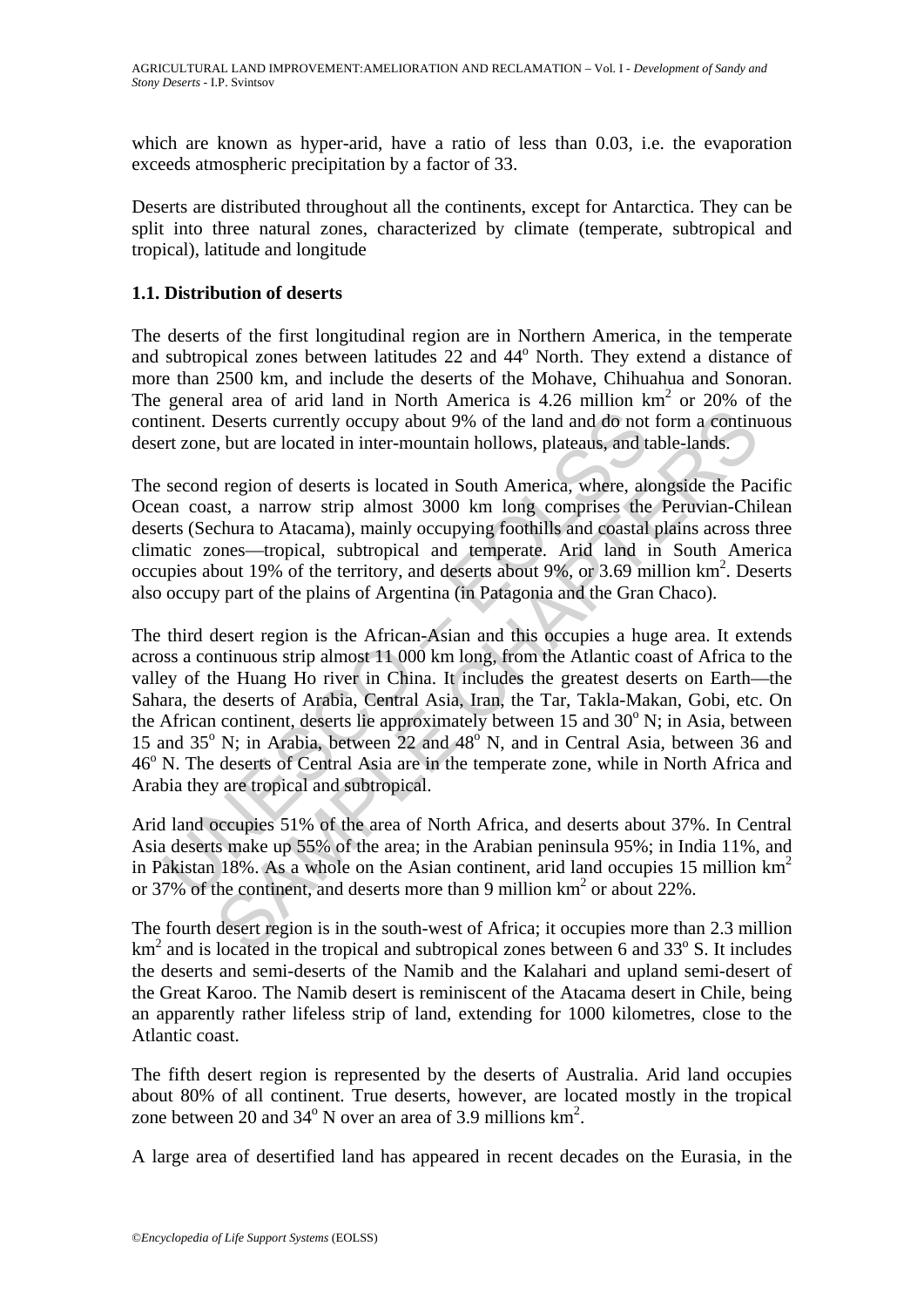which are known as hyper-arid, have a ratio of less than 0.03, i.e. the evaporation exceeds atmospheric precipitation by a factor of 33.

Deserts are distributed throughout all the continents, except for Antarctica. They can be split into three natural zones, characterized by climate (temperate, subtropical and tropical), latitude and longitude

# **1.1. Distribution of deserts**

The deserts of the first longitudinal region are in Northern America, in the temperate and subtropical zones between latitudes 22 and 44<sup>°</sup> North. They extend a distance of more than 2500 km, and include the deserts of the Mohave, Chihuahua and Sonoran. The general area of arid land in North America is  $4.26$  million km<sup>2</sup> or  $20\%$  of the continent. Deserts currently occupy about 9% of the land and do not form a continuous desert zone, but are located in inter-mountain hollows, plateaus, and table-lands.

The second region of deserts is located in South America, where, alongside the Pacific Ocean coast, a narrow strip almost 3000 km long comprises the Peruvian-Chilean deserts (Sechura to Atacama), mainly occupying foothills and coastal plains across three climatic zones—tropical, subtropical and temperate. Arid land in South America occupies about 19% of the territory, and deserts about 9%, or 3.69 million  $km<sup>2</sup>$ . Deserts also occupy part of the plains of Argentina (in Patagonia and the Gran Chaco).

inent. Deserts currently occupy about 9% of the land and do not<br>ert zone, but are located in inter-mountain hollows, plateaus, and t<br>second region of deserts is located in South America, where, alt<br>second region of deserts Deserts currently occupy about 9% of the land and do not form a continual, but are located in inter-mountain hollows, plateaus, and table-lands.<br>
I region of deserts is located in South America, where, alongside the Past, The third desert region is the African-Asian and this occupies a huge area. It extends across a continuous strip almost 11 000 km long, from the Atlantic coast of Africa to the valley of the Huang Ho river in China. It includes the greatest deserts on Earth—the Sahara, the deserts of Arabia, Central Asia, Iran, the Tar, Takla-Makan, Gobi, etc. On the African continent, deserts lie approximately between 15 and 30<sup>°</sup> N; in Asia, between 15 and  $35^{\circ}$  N; in Arabia, between 22 and  $48^{\circ}$  N, and in Central Asia, between 36 and 46<sup>°</sup> N. The deserts of Central Asia are in the temperate zone, while in North Africa and Arabia they are tropical and subtropical.

Arid land occupies 51% of the area of North Africa, and deserts about 37%. In Central Asia deserts make up 55% of the area; in the Arabian peninsula 95%; in India 11%, and in Pakistan 18%. As a whole on the Asian continent, arid land occupies 15 million km2 or 37% of the continent, and deserts more than 9 million  $km^2$  or about 22%.

The fourth desert region is in the south-west of Africa; it occupies more than 2.3 million  $km<sup>2</sup>$  and is located in the tropical and subtropical zones between 6 and 33 $\degree$  S. It includes the deserts and semi-deserts of the Namib and the Kalahari and upland semi-desert of the Great Karoo. The Namib desert is reminiscent of the Atacama desert in Chile, being an apparently rather lifeless strip of land, extending for 1000 kilometres, close to the Atlantic coast.

The fifth desert region is represented by the deserts of Australia. Arid land occupies about 80% of all continent. True deserts, however, are located mostly in the tropical zone between 20 and  $34^{\circ}$  N over an area of 3.9 millions  $km^2$ .

A large area of desertified land has appeared in recent decades on the Eurasia, in the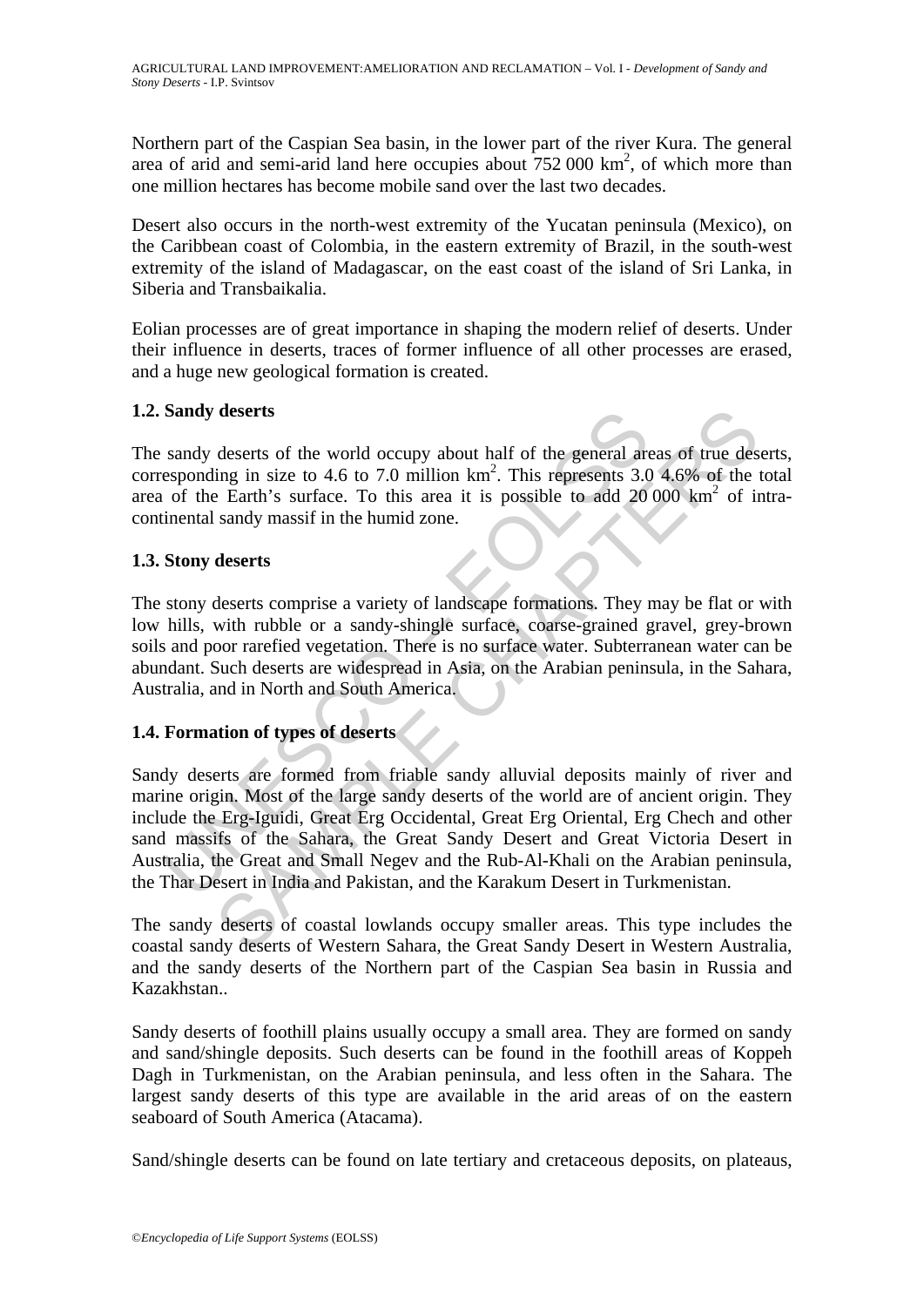Northern part of the Caspian Sea basin, in the lower part of the river Kura. The general area of arid and semi-arid land here occupies about  $752 000 \text{ km}^2$ , of which more than one million hectares has become mobile sand over the last two decades.

Desert also occurs in the north-west extremity of the Yucatan peninsula (Mexico), on the Caribbean coast of Colombia, in the eastern extremity of Brazil, in the south-west extremity of the island of Madagascar, on the east coast of the island of Sri Lanka, in Siberia and Transbaikalia.

Eolian processes are of great importance in shaping the modern relief of deserts. Under their influence in deserts, traces of former influence of all other processes are erased, and a huge new geological formation is created.

# **1.2. Sandy deserts**

The sandy deserts of the world occupy about half of the general areas of true deserts, corresponding in size to 4.6 to 7.0 million  $km^2$ . This represents 3.0 4.6% of the total area of the Earth's surface. To this area it is possible to add  $20000 \text{ km}^2$  of intracontinental sandy massif in the humid zone.

### **1.3. Stony deserts**

The stony deserts comprise a variety of landscape formations. They may be flat or with low hills, with rubble or a sandy-shingle surface, coarse-grained gravel, grey-brown soils and poor rarefied vegetation. There is no surface water. Subterranean water can be abundant. Such deserts are widespread in Asia, on the Arabian peninsula, in the Sahara, Australia, and in North and South America.

# **1.4. Formation of types of deserts**

**Sandy deserts**<br>
sandy deserts of the world occupy about half of the general are<br>
seponding in size to 4.6 to 7.0 million km<sup>2</sup>. This represents 3.0<br>
of the Earth's surface. To this area it is possible to add 20<br>
inental deserts<br>deserts<br>deserts of the world occupy about half of the general areas of rue des<br>ing in size to 4.6 to 7.0 million km<sup>2</sup>. This represents 3.0 4.6% of the<br>e Earth's surface. To this area it is possible to add 20 000 k Sandy deserts are formed from friable sandy alluvial deposits mainly of river and marine origin. Most of the large sandy deserts of the world are of ancient origin. They include the Erg-Iguidi, Great Erg Occidental, Great Erg Oriental, Erg Chech and other sand massifs of the Sahara, the Great Sandy Desert and Great Victoria Desert in Australia, the Great and Small Negev and the Rub-Al-Khali on the Arabian peninsula, the Тhаr Desert in India and Pakistan, and the Karakum Desert in Turkmenistan.

The sandy deserts of coastal lowlands occupy smaller areas. This type includes the coastal sandy deserts of Western Sahara, the Great Sandy Desert in Western Australia, and the sandy deserts of the Northern part of the Caspian Sea basin in Russia and Kazakhstan..

Sandy deserts of foothill plains usually occupy a small area. They are formed on sandy and sand/shingle deposits. Such deserts can be found in the foothill areas of Koppeh Dagh in Turkmenistan, on the Arabian peninsula, and less often in the Sahara. The largest sandy deserts of this type are available in the arid areas of on the eastern seaboard of South America (Atacama).

Sand/shingle deserts can be found on late tertiary and cretaceous deposits, on plateaus,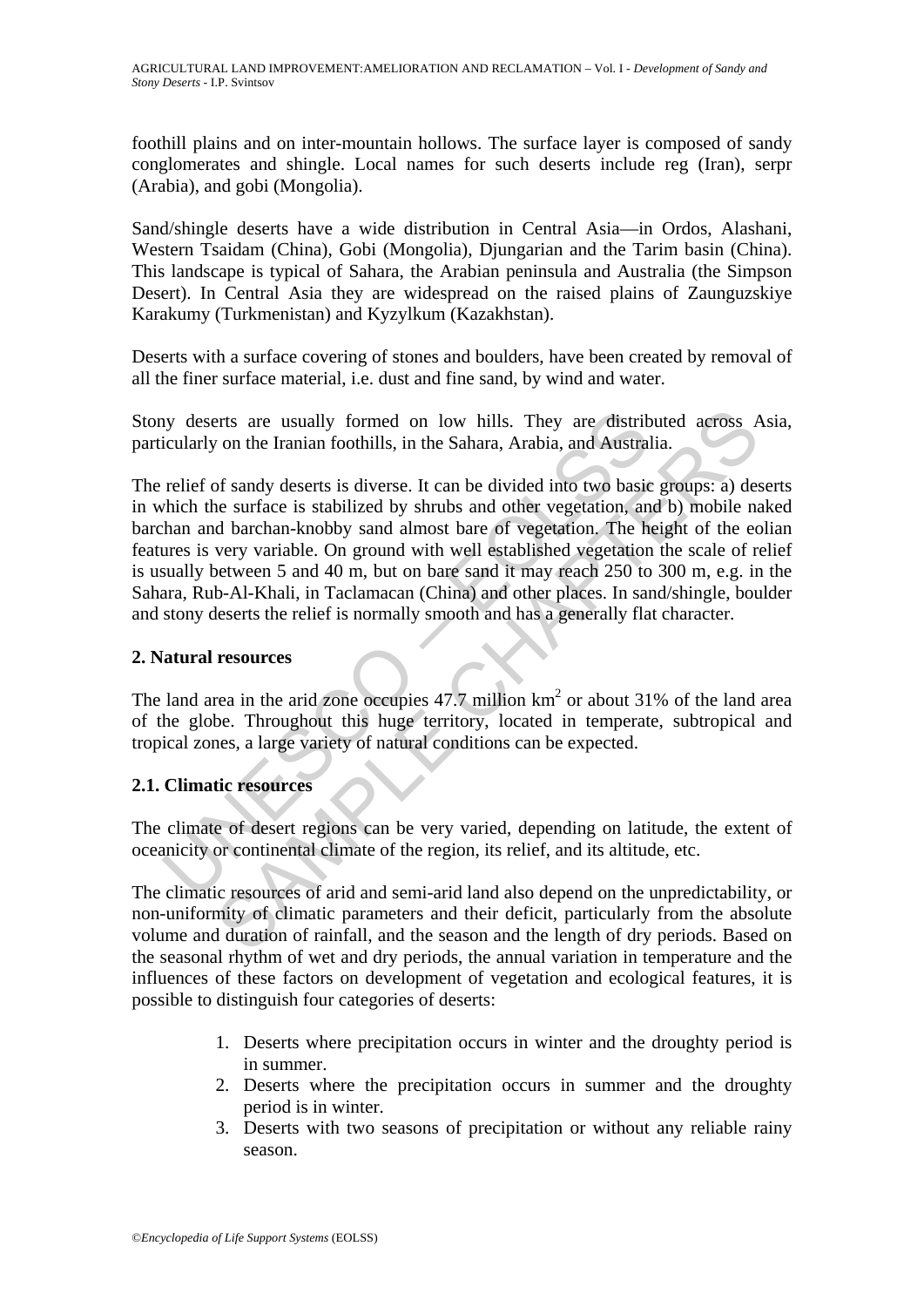foothill plains and on inter-mountain hollows. The surface layer is composed of sandy conglomerates and shingle. Local names for such deserts include reg (Iran), serpr (Arabia), and gobi (Mongolia).

Sand/shingle deserts have a wide distribution in Central Asia—in Ordos, Alashani, Western Tsaidam (China), Gobi (Mongolia), Djungarian and the Tarim basin (China). This landscape is typical of Sahara, the Arabian peninsula and Australia (the Simpson Desert). In Central Asia they are widespread on the raised plains of Zaunguzskiye Karakumy (Turkmenistan) and Kyzylkum (Kazakhstan).

Deserts with a surface covering of stones and boulders, have been created by removal of all the finer surface material, i.e. dust and fine sand, by wind and water.

Stony deserts are usually formed on low hills. They are distributed across Asia, particularly on the Iranian foothills, in the Sahara, Arabia, and Australia.

by deserts are usually formed on low hills. They are distriticularly on the Iranian foothills, in the Sahara, Arabia, and Austra relief of sandy deserts is diverse. It can be divided into two basic which the surface is st erts are usually formed on low hills. They are distributed across  $\ell$ <br>on the Iranian foothills, in the Sahara, Arabia, and Australia.<br>
of sandy deserts is diverse. It can be divided into two basic groups: a) des<br>
ne surfa The relief of sandy deserts is diverse. It can be divided into two basic groups: a) deserts in which the surface is stabilized by shrubs and other vegetation, and b) mobile naked barchan and barchan-knobby sand almost bare of vegetation. The height of the eolian features is very variable. On ground with well established vegetation the scale of relief is usually between 5 and 40 m, but on bare sand it may reach 250 to 300 m, e.g. in the Sahara, Rub-Al-Khali, in Taclamacan (China) and other places. In sand/shingle, boulder and stony deserts the relief is normally smooth and has a generally flat character.

#### **2. Natural resources**

The land area in the arid zone occupies  $47.7$  million km<sup>2</sup> or about 31% of the land area of the globe. Throughout this huge territory, located in temperate, subtropical and tropical zones, a large variety of natural conditions can be expected.

# **2.1. Climatic resources**

The climate of desert regions can be very varied, depending on latitude, the extent of oceanicity or continental climate of the region, its relief, and its altitude, etc.

The climatic resources of arid and semi-arid land also depend on the unpredictability, or non-uniformity of climatic parameters and their deficit, particularly from the absolute volume and duration of rainfall, and the season and the length of dry periods. Based on the seasonal rhythm of wet and dry periods, the annual variation in temperature and the influences of these factors on development of vegetation and ecological features, it is possible to distinguish four categories of deserts:

- 1. Deserts where precipitation occurs in winter and the droughty period is in summer.
- 2. Deserts where the precipitation occurs in summer and the droughty period is in winter.
- 3. Deserts with two seasons of precipitation or without any reliable rainy season.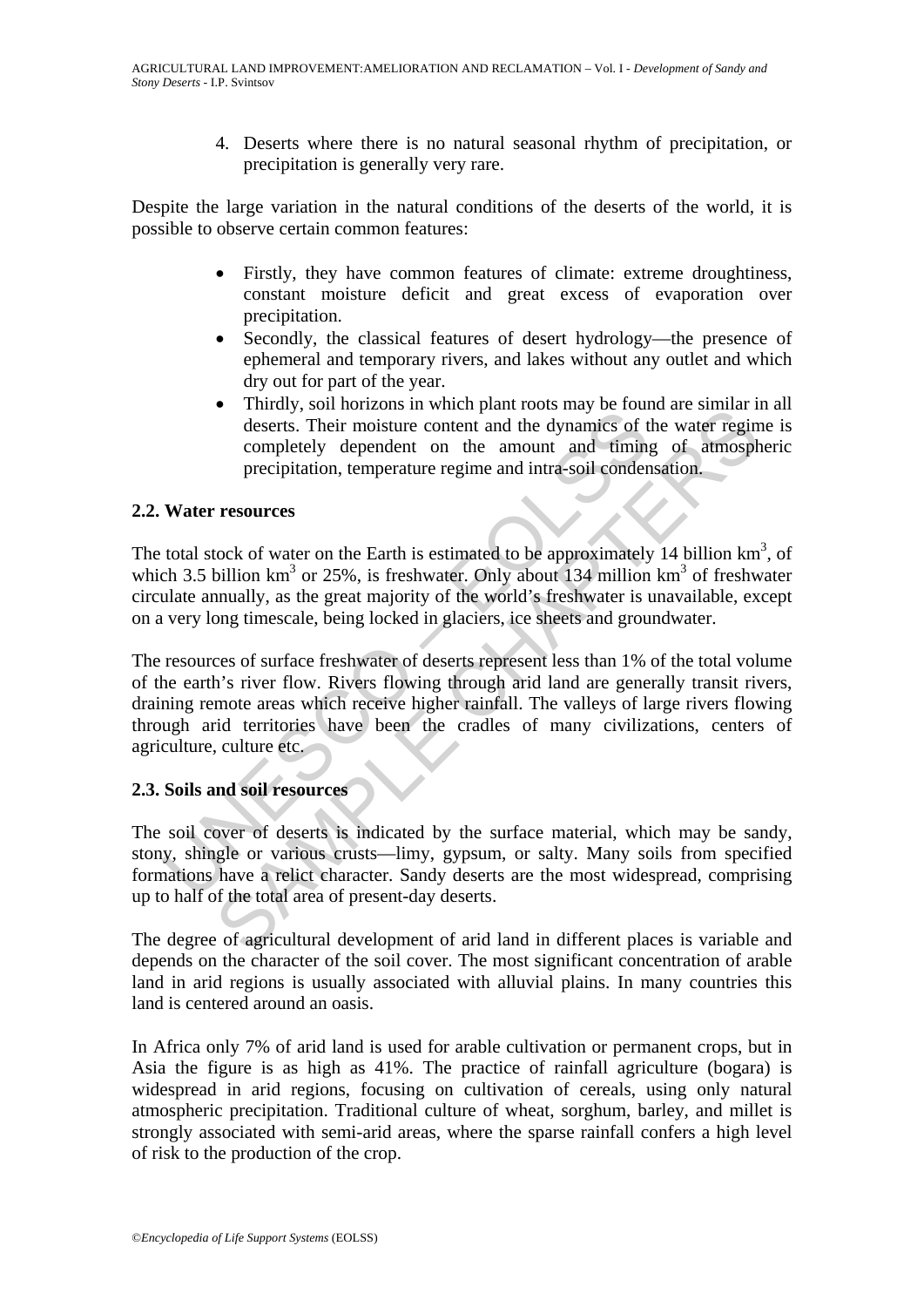4. Deserts where there is no natural seasonal rhythm of precipitation, or precipitation is generally very rare.

Despite the large variation in the natural conditions of the deserts of the world, it is possible to observe certain common features:

- Firstly, they have common features of climate: extreme droughtiness, constant moisture deficit and great excess of evaporation over precipitation.
- Secondly, the classical features of desert hydrology—the presence of ephemeral and temporary rivers, and lakes without any outlet and which dry out for part of the year.
- Thirdly, soil horizons in which plant roots may be found are similar in all deserts. Their moisture content and the dynamics of the water regime is completely dependent on the amount and timing of atmospheric precipitation, temperature regime and intra-soil condensation.

### **2.2. Water resources**

The total stock of water on the Earth is estimated to be approximately 14 billion  $km<sup>3</sup>$ , of which 3.5 billion  $km^3$  or 25%, is freshwater. Only about 134 million  $km^3$  of freshwater circulate annually, as the great majority of the world's freshwater is unavailable, except on a very long timescale, being locked in glaciers, ice sheets and groundwater.

The moisture content and the dynamics of<br>deserts. Their moisture content and the dynamics of completely dependent on the amount and timing<br>precipitation, temperature regime and intra-soil conder<br>**Water resources**<br>total sto From the motions in winter paramotous may be found at similar deserts. Their moisture content and the dynamics of the water regin completely dependent on the amount and timing of atmosph precipitation, temperature regime a The resources of surface freshwater of deserts represent less than 1% of the total volume of the earth's river flow. Rivers flowing through arid land are generally transit rivers, draining remote areas which receive higher rainfall. The valleys of large rivers flowing through arid territories have been the cradles of many civilizations, centers of agriculture, culture etc.

# **2.3. Soils and soil resources**

The soil cover of deserts is indicated by the surface material, which may be sandy, stony, shingle or various crusts—limy, gypsum, or salty. Many soils from specified formations have a relict character. Sandy deserts are the most widespread, comprising up to half of the total area of present-day deserts.

The degree of agricultural development of arid land in different places is variable and depends on the character of the soil cover. The most significant concentration of arable land in arid regions is usually associated with alluvial plains. In many countries this land is centered around an oasis.

In Africa only 7% of arid land is used for arable cultivation or permanent crops, but in Asia the figure is as high as 41%. The practice of rainfall agriculture (bogara) is widespread in arid regions, focusing on cultivation of cereals, using only natural atmospheric precipitation. Traditional culture of wheat, sorghum, barley, and millet is strongly associated with semi-arid areas, where the sparse rainfall confers a high level of risk to the production of the crop.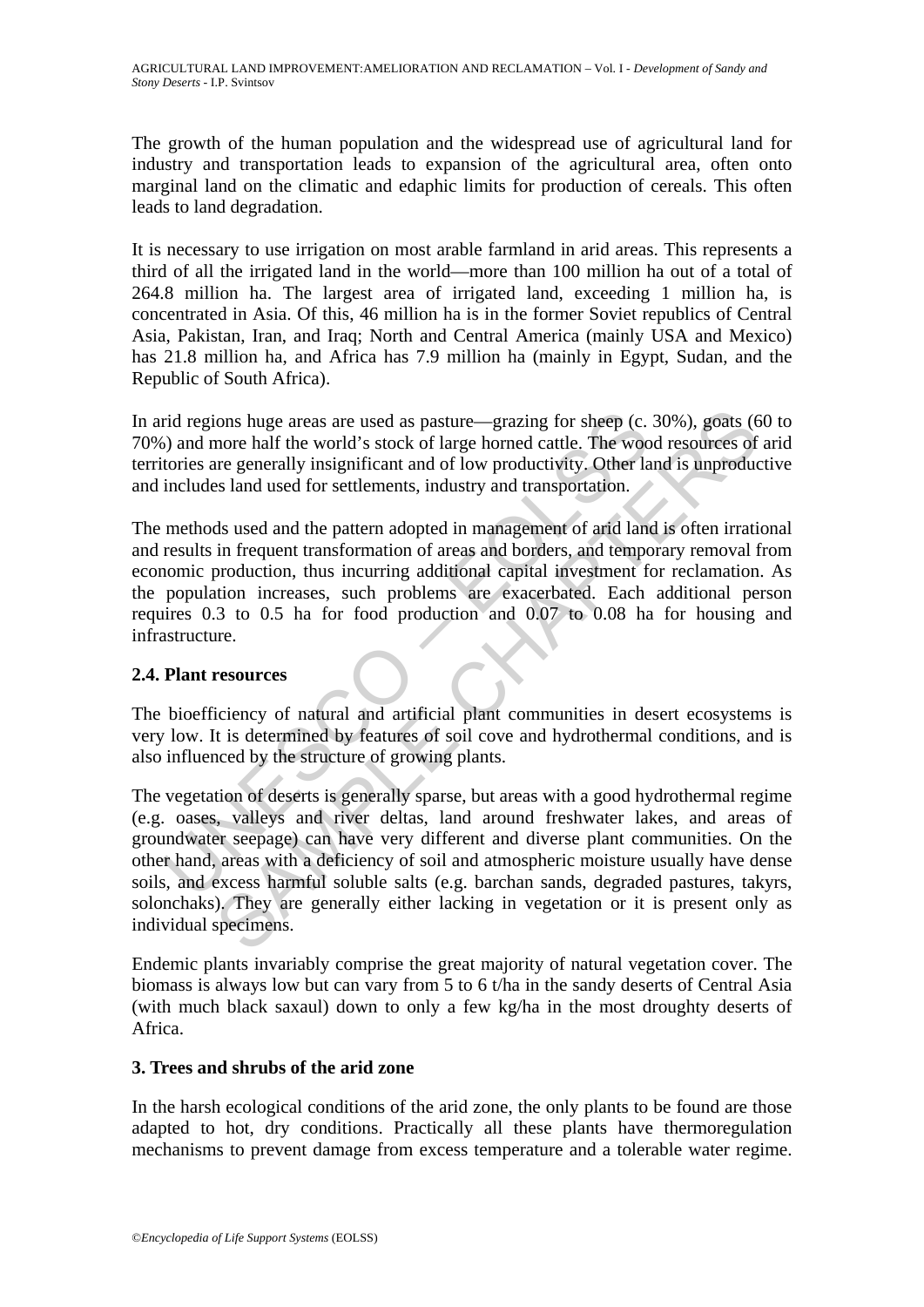The growth of the human population and the widespread use of agricultural land for industry and transportation leads to expansion of the agricultural area, often onto marginal land on the climatic and edaphic limits for production of cereals. This often leads to land degradation.

It is necessary to use irrigation on most arable farmland in arid areas. This represents a third of all the irrigated land in the world—more than 100 million ha out of a total of 264.8 million ha. The largest area of irrigated land, exceeding 1 million ha, is concentrated in Asia. Of this, 46 million ha is in the former Soviet republics of Central Asia, Pakistan, Iran, and Iraq; North and Central America (mainly USA and Mexico) has 21.8 million ha, and Africa has 7.9 million ha (mainly in Egypt, Sudan, and the Republic of South Africa).

In arid regions huge areas are used as pasture—grazing for sheep (c. 30%), goats (60 to 70%) and more half the world's stock of large horned cattle. The wood resources of arid territories are generally insignificant and of low productivity. Other land is unproductive and includes land used for settlements, industry and transportation.

rid regions huge areas are used as pasture—grazing for sheep (c.<br>
i) and more half the world's stock of large horned cattle. The woo tories are generally insignificant and of low productivity. Other la<br>
includes land used The methods used and the pattern adopted in management of arid land is often irrational and results in frequent transformation of areas and borders, and temporary removal from economic production, thus incurring additional capital investment for reclamation. As the population increases, such problems are exacerbated. Each additional person requires 0.3 to 0.5 ha for food production and 0.07 to 0.08 ha for housing and infrastructure.

# **2.4. Plant resources**

The bioefficiency of natural and artificial plant communities in desert ecosystems is very low. It is determined by features of soil cove and hydrothermal conditions, and is also influenced by the structure of growing plants.

ions huge areas are used as pasture—grazing for sheep (c. 30%), goats (enore half the world's stock of large horned cattle. The wood resources of the generally insignificant and of low productivity. Other land is unproduct The vegetation of deserts is generally sparse, but areas with a good hydrothermal regime (e.g. oases, valleys and river deltas, land around freshwater lakes, and areas of groundwater seepage) can have very different and diverse plant communities. On the other hand, areas with a deficiency of soil and atmospheric moisture usually have dense soils, and excess harmful soluble salts (e.g. barchan sands, degraded pastures, takyrs, solonchaks). They are generally either lacking in vegetation or it is present only as individual specimens.

Endemic plants invariably comprise the great majority of natural vegetation cover. The biomass is always low but can vary from 5 to 6 t/ha in the sandy deserts of Central Asia (with much black saxaul) down to only a few kg/ha in the most droughty deserts of Africa.

#### **3. Trees and shrubs of the arid zone**

In the harsh ecological conditions of the arid zone, the only plants to be found are those adapted to hot, dry conditions. Practically all these plants have thermoregulation mechanisms to prevent damage from excess temperature and a tolerable water regime.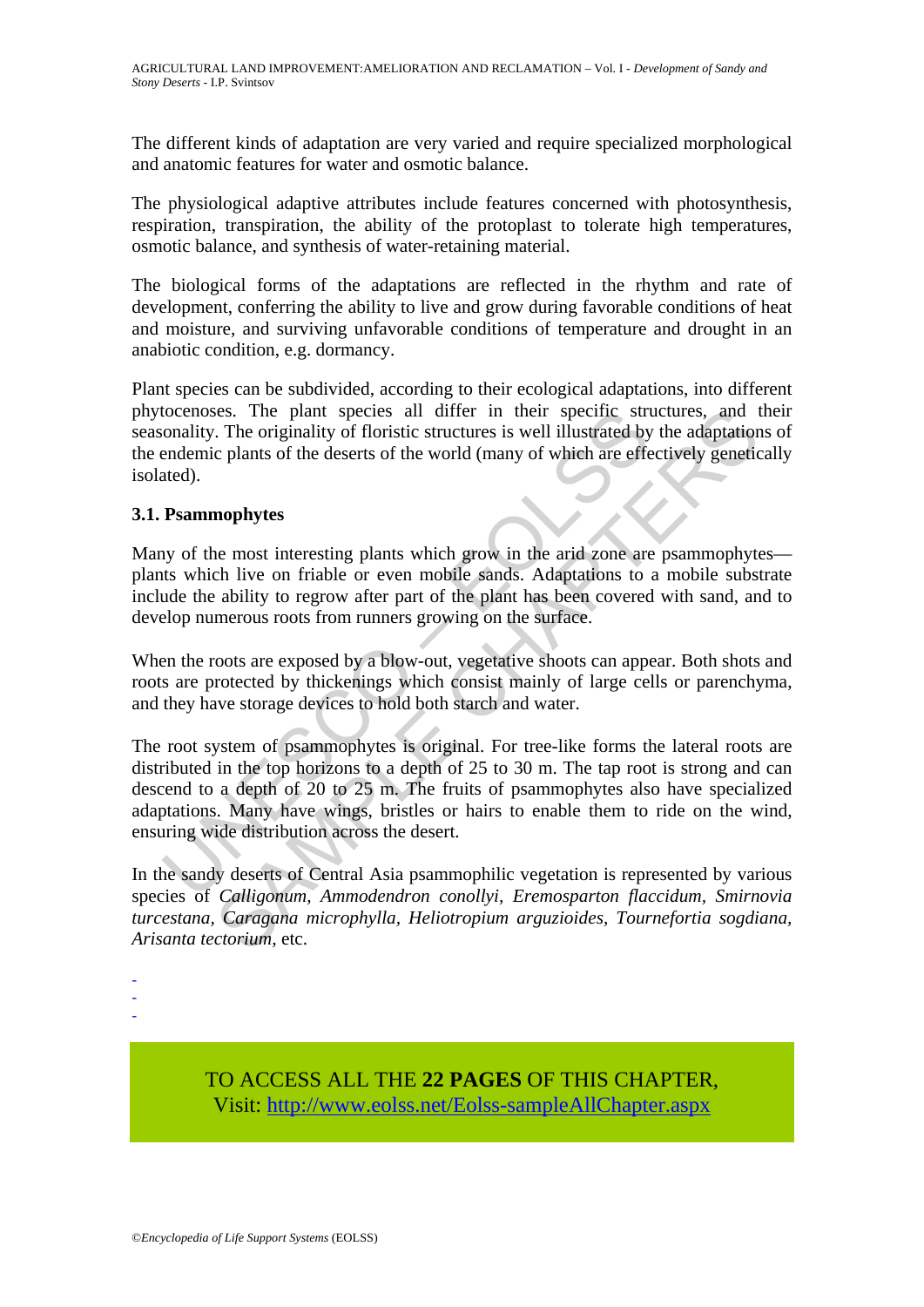The different kinds of adaptation are very varied and require specialized morphological and anatomic features for water and osmotic balance.

The physiological adaptive attributes include features concerned with photosynthesis, respiration, transpiration, the ability of the protoplast to tolerate high temperatures, osmotic balance, and synthesis of water-retaining material.

The biological forms of the adaptations are reflected in the rhythm and rate of development, conferring the ability to live and grow during favorable conditions of heat and moisture, and surviving unfavorable conditions of temperature and drought in an anabiotic condition, e.g. dormancy.

Plant species can be subdivided, according to their ecological adaptations, into different phytocenoses. The plant species all differ in their specific structures, and their seasonality. The originality of floristic structures is well illustrated by the adaptations of the endemic plants of the deserts of the world (many of which are effectively genetically isolated).

# **3.1. Psammophytes**

Many of the most interesting plants which grow in the arid zone are psammophytes plants which live on friable or even mobile sands. Adaptations to a mobile substrate include the ability to regrow after part of the plant has been covered with sand, and to develop numerous roots from runners growing on the surface.

When the roots are exposed by a blow-out, vegetative shoots can appear. Both shots and roots are protected by thickenings which consist mainly of large cells or parenchyma, and they have storage devices to hold both starch and water.

tocenoses. The plant species all differ in their specific striven<br>onality. The originality of floristic structures is well illustrated by<br>endemic plants of the deserts of the world (many of which are effected).<br>**Psammophyt** ises. The plant species all differ in their specific structures, and 1<br>
The originality of floristic structures is well illustrated by the adaptation<br>
c plants of the deserts of the world (many of which are effectively ge The root system of psammophytes is original. For tree-like forms the lateral roots are distributed in the top horizons to a depth of 25 to 30 m. The tap root is strong and can descend to a depth of 20 to 25 m. The fruits of psammophytes also have specialized adaptations. Many have wings, bristles or hairs to enable them to ride on the wind, ensuring wide distribution across the desert.

In the sandy deserts of Central Asia psammophilic vegetation is represented by various species of *Calligonum, Ammodendron conollyi, Eremosparton flaccidum, Smirnovia turcestana, Caragana microphylla, Heliotropium arguzioides, Tournefortia sogdiana, Arisanta tectorium,* etc.

- -

-

TO ACCESS ALL THE **22 PAGES** OF THIS CHAPTER, Visit[: http://www.eolss.net/Eolss-sampleAllChapter.aspx](https://www.eolss.net/ebooklib/sc_cart.aspx?File=E5-09-02-05)